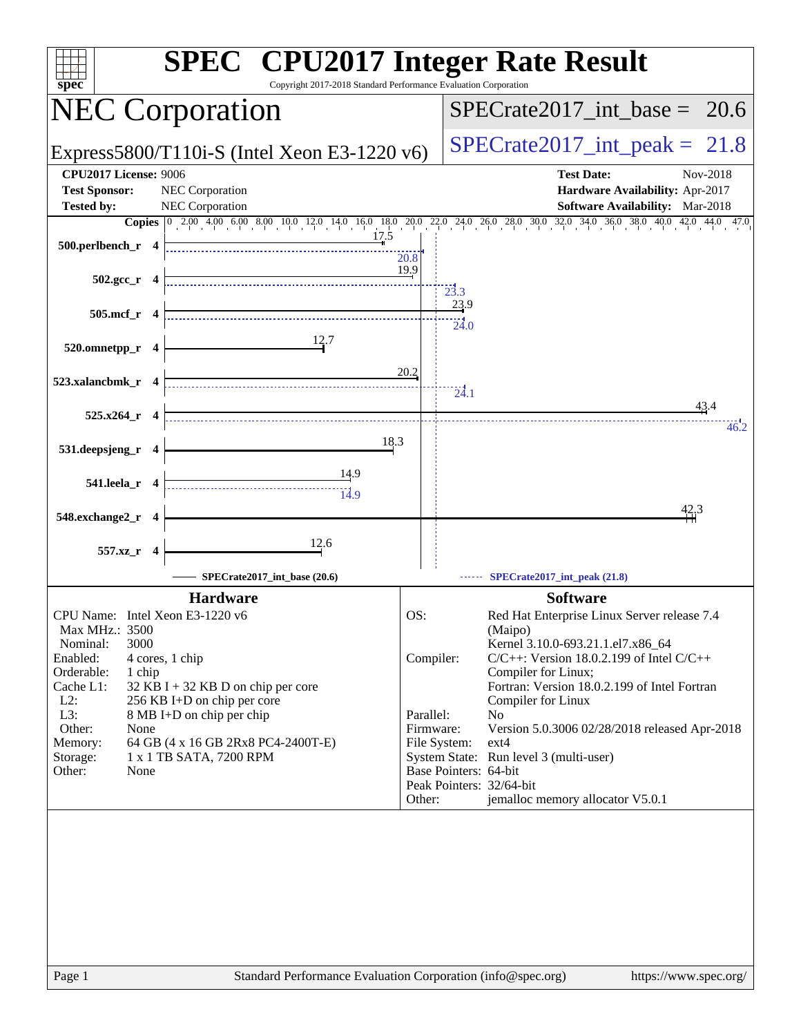| <b>SPEC<sup>®</sup></b> CPU2017 Integer Rate Result<br>Copyright 2017-2018 Standard Performance Evaluation Corporation<br>$\overline{\text{spec}^*}$                                                                                                                                                                                                                                                          |               |                                                                              |                                                                                                                                                                                                                                                                                                                                                                                                                                                       |
|---------------------------------------------------------------------------------------------------------------------------------------------------------------------------------------------------------------------------------------------------------------------------------------------------------------------------------------------------------------------------------------------------------------|---------------|------------------------------------------------------------------------------|-------------------------------------------------------------------------------------------------------------------------------------------------------------------------------------------------------------------------------------------------------------------------------------------------------------------------------------------------------------------------------------------------------------------------------------------------------|
| <b>NEC Corporation</b>                                                                                                                                                                                                                                                                                                                                                                                        |               |                                                                              | $SPECTate2017\_int\_base = 20.6$                                                                                                                                                                                                                                                                                                                                                                                                                      |
| Express5800/T110i-S (Intel Xeon E3-1220 v6)                                                                                                                                                                                                                                                                                                                                                                   |               |                                                                              | $SPECrate2017\_int\_peak = 21.8$                                                                                                                                                                                                                                                                                                                                                                                                                      |
| <b>CPU2017 License: 9006</b><br><b>Test Sponsor:</b><br>NEC Corporation                                                                                                                                                                                                                                                                                                                                       |               |                                                                              | <b>Test Date:</b><br>Nov-2018<br>Hardware Availability: Apr-2017                                                                                                                                                                                                                                                                                                                                                                                      |
| <b>Tested by:</b><br>NEC Corporation                                                                                                                                                                                                                                                                                                                                                                          |               |                                                                              | <b>Software Availability:</b> Mar-2018                                                                                                                                                                                                                                                                                                                                                                                                                |
| <b>Copies</b> $\begin{bmatrix} 0 & 2.00 & 4.00 & 6.00 & 8.00 & 10.0 & 12.0 & 14.0 & 16.0 & 18.0 & 20.0 & 22.0 & 24.0 & 26.0 & 28.0 & 30.0 & 32.0 & 34.0 & 36.0 & 38.0 & 40.0 & 42.0 & 44.0 & 47.0 & 47.0 & 48.0 & 40.0 & 42.0 & 44.0 & 47.0 & 47.0 & 48.0 & 40.0 & 47.0 & 48.0$<br>17.5<br>500.perlbench_r 4                                                                                                  | 20.8          |                                                                              |                                                                                                                                                                                                                                                                                                                                                                                                                                                       |
| $502.\text{gcc}_r$ 4                                                                                                                                                                                                                                                                                                                                                                                          | 19.9          | $\frac{1}{23.3}$                                                             |                                                                                                                                                                                                                                                                                                                                                                                                                                                       |
| 505.mcf_r 4                                                                                                                                                                                                                                                                                                                                                                                                   |               | 23.9<br>$\overline{24.0}$                                                    |                                                                                                                                                                                                                                                                                                                                                                                                                                                       |
| 12.7<br>520.omnetpp_r 4                                                                                                                                                                                                                                                                                                                                                                                       |               |                                                                              |                                                                                                                                                                                                                                                                                                                                                                                                                                                       |
| 523.xalancbmk_r 4                                                                                                                                                                                                                                                                                                                                                                                             | 20.2          | 24.1                                                                         |                                                                                                                                                                                                                                                                                                                                                                                                                                                       |
| $525.x264$ _r 4                                                                                                                                                                                                                                                                                                                                                                                               |               |                                                                              | 43.4<br>46.2                                                                                                                                                                                                                                                                                                                                                                                                                                          |
| 18.3<br>531.deepsjeng_r 4                                                                                                                                                                                                                                                                                                                                                                                     |               |                                                                              |                                                                                                                                                                                                                                                                                                                                                                                                                                                       |
| 541.leela_r 4                                                                                                                                                                                                                                                                                                                                                                                                 |               |                                                                              |                                                                                                                                                                                                                                                                                                                                                                                                                                                       |
| 548.exchange2_r 4                                                                                                                                                                                                                                                                                                                                                                                             |               |                                                                              | 42,3                                                                                                                                                                                                                                                                                                                                                                                                                                                  |
| 12.6<br>557.xz_r 4<br>SPECrate2017_int_base (20.6)                                                                                                                                                                                                                                                                                                                                                            |               |                                                                              | SPECrate2017_int_peak (21.8)                                                                                                                                                                                                                                                                                                                                                                                                                          |
|                                                                                                                                                                                                                                                                                                                                                                                                               |               |                                                                              |                                                                                                                                                                                                                                                                                                                                                                                                                                                       |
| <b>Hardware</b><br>CPU Name: Intel Xeon E3-1220 v6<br>Max MHz.: 3500<br>3000<br>Nominal:<br>Enabled:<br>4 cores, 1 chip<br>Orderable:<br>1 chip<br>Cache L1:<br>$32$ KB I + 32 KB D on chip per core<br>$L2$ :<br>256 KB I+D on chip per core<br>L3:<br>8 MB I+D on chip per chip<br>Other:<br>None<br>Memory:<br>64 GB (4 x 16 GB 2Rx8 PC4-2400T-E)<br>1 x 1 TB SATA, 7200 RPM<br>Storage:<br>Other:<br>None | OS:<br>Other: | Compiler:<br>Parallel:<br>Firmware:<br>File System:<br>Base Pointers: 64-bit | <b>Software</b><br>Red Hat Enterprise Linux Server release 7.4<br>(Maipo)<br>Kernel 3.10.0-693.21.1.el7.x86 64<br>$C/C++$ : Version 18.0.2.199 of Intel $C/C++$<br>Compiler for Linux;<br>Fortran: Version 18.0.2.199 of Intel Fortran<br>Compiler for Linux<br>N <sub>o</sub><br>Version 5.0.3006 02/28/2018 released Apr-2018<br>$ext{4}$<br>System State: Run level 3 (multi-user)<br>Peak Pointers: 32/64-bit<br>jemalloc memory allocator V5.0.1 |
| Page 1<br>Standard Performance Evaluation Corporation (info@spec.org)                                                                                                                                                                                                                                                                                                                                         |               |                                                                              | https://www.spec.org/                                                                                                                                                                                                                                                                                                                                                                                                                                 |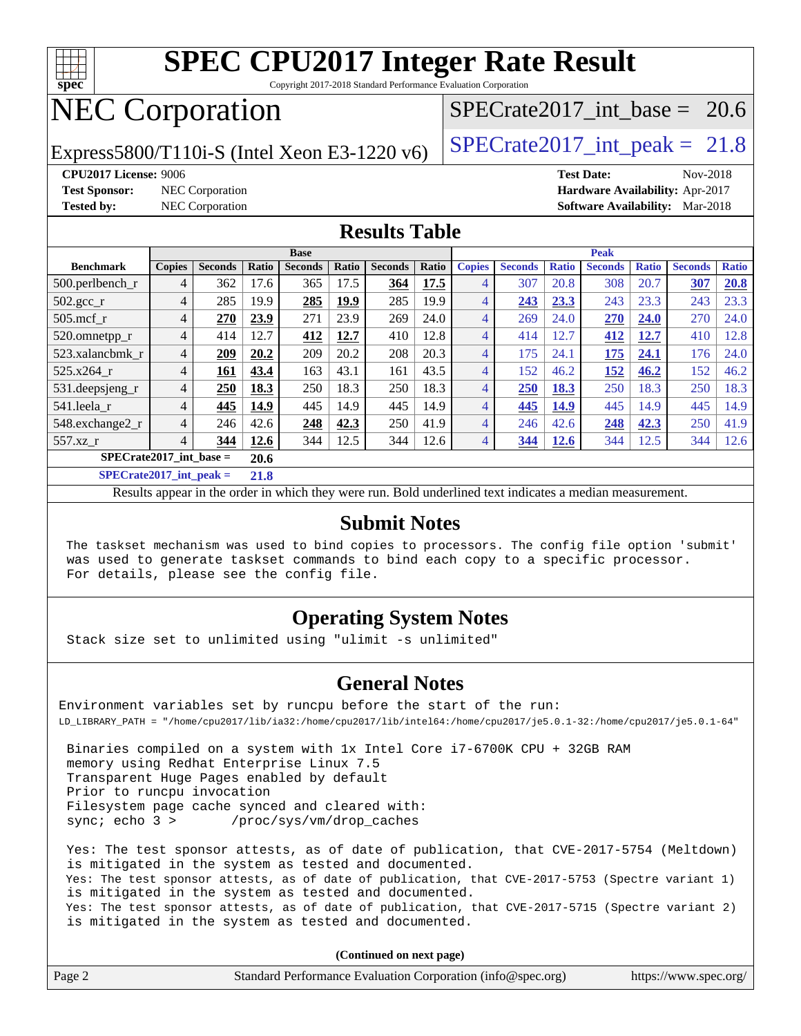

Copyright 2017-2018 Standard Performance Evaluation Corporation

# NEC Corporation

Express5800/T110i-S (Intel Xeon E3-1220 v6) [SPECrate2017\\_int\\_peak =](http://www.spec.org/auto/cpu2017/Docs/result-fields.html#SPECrate2017intpeak)  $21.8$ 

SPECrate2017 int\_base =  $20.6$ 

**[CPU2017 License:](http://www.spec.org/auto/cpu2017/Docs/result-fields.html#CPU2017License)** 9006 **[Test Date:](http://www.spec.org/auto/cpu2017/Docs/result-fields.html#TestDate)** Nov-2018 **[Test Sponsor:](http://www.spec.org/auto/cpu2017/Docs/result-fields.html#TestSponsor)** NEC Corporation **[Hardware Availability:](http://www.spec.org/auto/cpu2017/Docs/result-fields.html#HardwareAvailability)** Apr-2017 **[Tested by:](http://www.spec.org/auto/cpu2017/Docs/result-fields.html#Testedby)** NEC Corporation **[Software Availability:](http://www.spec.org/auto/cpu2017/Docs/result-fields.html#SoftwareAvailability)** Mar-2018

#### **[Results Table](http://www.spec.org/auto/cpu2017/Docs/result-fields.html#ResultsTable)**

| <b>Base</b>               |                |                |       |                |       | <b>Peak</b>    |       |               |                |              |                |              |                |              |
|---------------------------|----------------|----------------|-------|----------------|-------|----------------|-------|---------------|----------------|--------------|----------------|--------------|----------------|--------------|
| <b>Benchmark</b>          | <b>Copies</b>  | <b>Seconds</b> | Ratio | <b>Seconds</b> | Ratio | <b>Seconds</b> | Ratio | <b>Copies</b> | <b>Seconds</b> | <b>Ratio</b> | <b>Seconds</b> | <b>Ratio</b> | <b>Seconds</b> | <b>Ratio</b> |
| $500.$ perlbench_r        | 4              | 362            | 17.6  | 365            | 17.5  | 364            | 17.5  | 4             | 307            | 20.8         | 308            | 20.7         | 307            | 20.8         |
| $502.\text{gcc}$          | 4              | 285            | 19.9  | 285            | 19.9  | 285            | 19.9  | 4             | 243            | 23.3         | 243            | 23.3         | 243            | 23.3         |
| $505$ .mcf r              | 4              | 270            | 23.9  | 271            | 23.9  | 269            | 24.0  | 4             | 269            | 24.0         | 270            | 24.0         | 270            | 24.0         |
| 520.omnetpp_r             | $\overline{4}$ | 414            | 12.7  | 412            | 12.7  | 410            | 12.8  | 4             | 414            | 12.7         | 412            | 12.7         | 410            | 12.8         |
| 523.xalancbmk r           | $\overline{4}$ | 209            | 20.2  | 209            | 20.2  | 208            | 20.3  | 4             | 175            | 24.1         | 175            | 24.1         | 176            | 24.0         |
| 525.x264 r                | $\overline{4}$ | 161            | 43.4  | 163            | 43.1  | 161            | 43.5  | 4             | 152            | 46.2         | 152            | 46.2         | 152            | 46.2         |
| $531.$ deepsjeng $_r$     | 4              | 250            | 18.3  | 250            | 18.3  | 250            | 18.3  | 4             | 250            | 18.3         | 250            | 18.3         | 250            | 18.3         |
| 541.leela r               | $\overline{4}$ | 445            | 14.9  | 445            | 14.9  | 445            | 14.9  | 4             | 445            | 14.9         | 445            | 14.9         | 445            | 14.9         |
| 548.exchange2_r           | $\overline{4}$ | 246            | 42.6  | 248            | 42.3  | 250            | 41.9  | 4             | 246            | 42.6         | 248            | 42.3         | 250            | 41.9         |
| 557.xz                    | 4              | 344            | 12.6  | 344            | 12.5  | 344            | 12.6  | 4             | 344            | 12.6         | 344            | 12.5         | 344            | 12.6         |
| $SPECrate2017$ int base = |                |                | 20.6  |                |       |                |       |               |                |              |                |              |                |              |
| $CDDAC = 4.047 + 4 = 1.1$ |                |                | 240   |                |       |                |       |               |                |              |                |              |                |              |

**[SPECrate2017\\_int\\_peak =](http://www.spec.org/auto/cpu2017/Docs/result-fields.html#SPECrate2017intpeak) 21.8**

Results appear in the [order in which they were run](http://www.spec.org/auto/cpu2017/Docs/result-fields.html#RunOrder). Bold underlined text [indicates a median measurement](http://www.spec.org/auto/cpu2017/Docs/result-fields.html#Median).

#### **[Submit Notes](http://www.spec.org/auto/cpu2017/Docs/result-fields.html#SubmitNotes)**

 The taskset mechanism was used to bind copies to processors. The config file option 'submit' was used to generate taskset commands to bind each copy to a specific processor. For details, please see the config file.

#### **[Operating System Notes](http://www.spec.org/auto/cpu2017/Docs/result-fields.html#OperatingSystemNotes)**

Stack size set to unlimited using "ulimit -s unlimited"

#### **[General Notes](http://www.spec.org/auto/cpu2017/Docs/result-fields.html#GeneralNotes)**

Environment variables set by runcpu before the start of the run: LD\_LIBRARY\_PATH = "/home/cpu2017/lib/ia32:/home/cpu2017/lib/intel64:/home/cpu2017/je5.0.1-32:/home/cpu2017/je5.0.1-64"

 Binaries compiled on a system with 1x Intel Core i7-6700K CPU + 32GB RAM memory using Redhat Enterprise Linux 7.5 Transparent Huge Pages enabled by default Prior to runcpu invocation Filesystem page cache synced and cleared with: sync; echo 3 > /proc/sys/vm/drop\_caches

 Yes: The test sponsor attests, as of date of publication, that CVE-2017-5754 (Meltdown) is mitigated in the system as tested and documented. Yes: The test sponsor attests, as of date of publication, that CVE-2017-5753 (Spectre variant 1) is mitigated in the system as tested and documented. Yes: The test sponsor attests, as of date of publication, that CVE-2017-5715 (Spectre variant 2) is mitigated in the system as tested and documented.

**(Continued on next page)**

| Page 2<br>Standard Performance Evaluation Corporation (info@spec.org)<br>https://www.spec.org/ |
|------------------------------------------------------------------------------------------------|
|------------------------------------------------------------------------------------------------|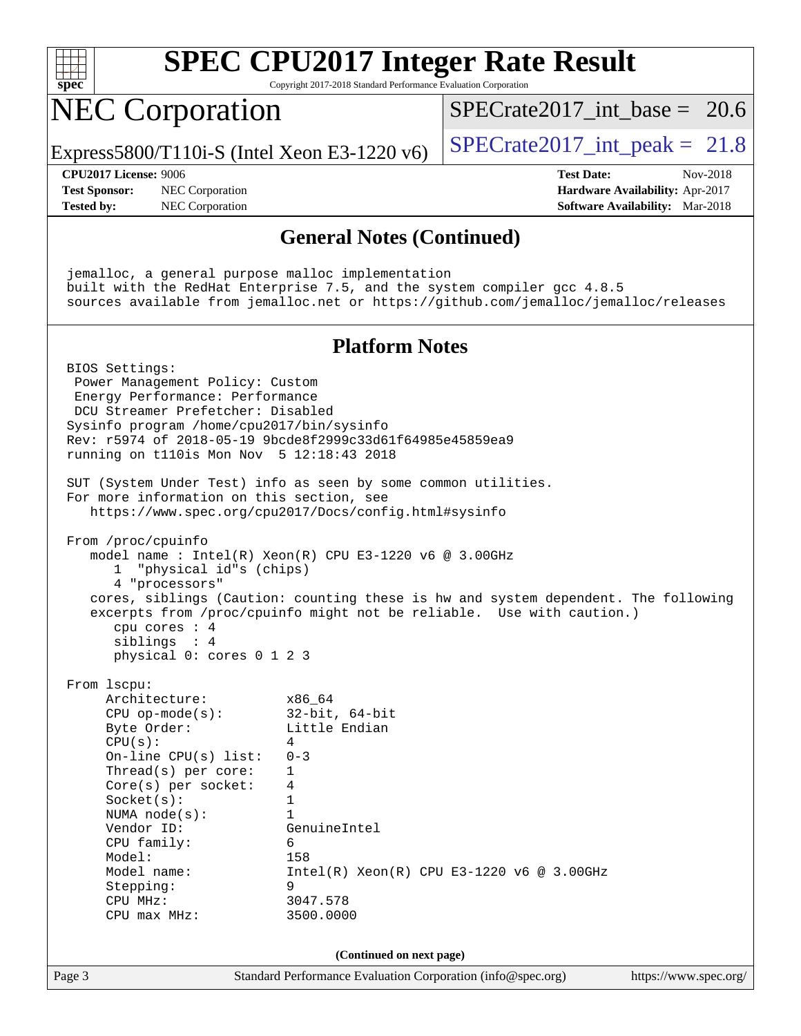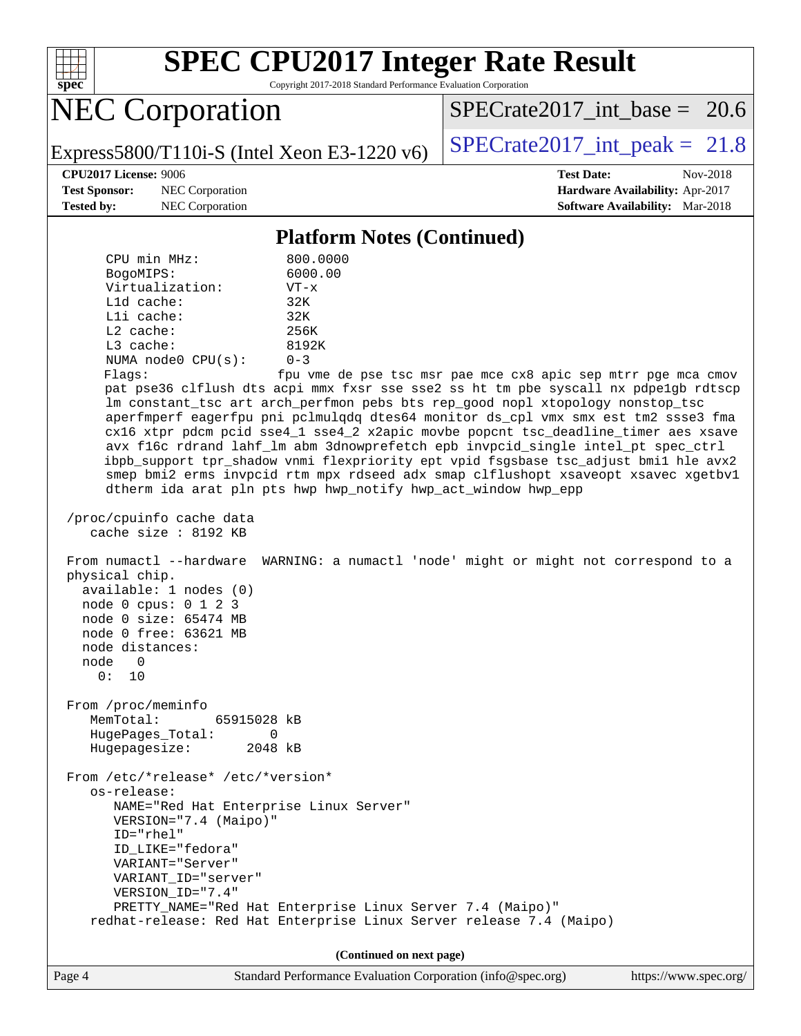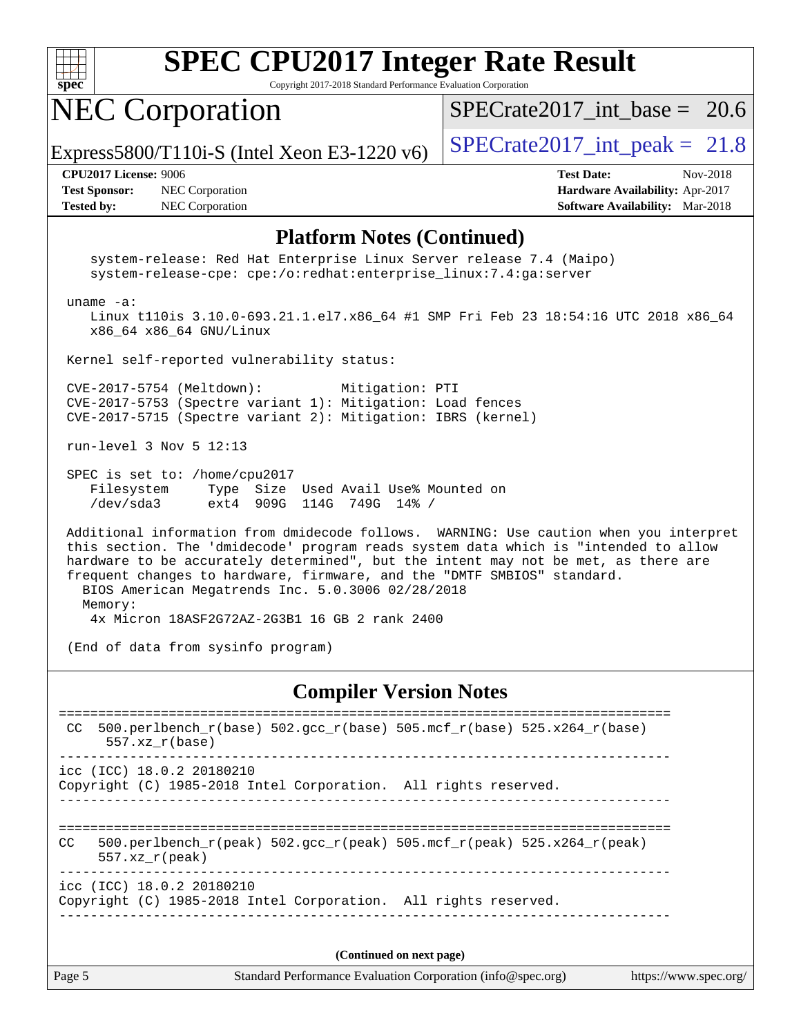

Copyright 2017-2018 Standard Performance Evaluation Corporation

# NEC Corporation

SPECrate2017 int\_base =  $20.6$ 

Express5800/T110i-S (Intel Xeon E3-1220 v6)  $\vert$  [SPECrate2017\\_int\\_peak =](http://www.spec.org/auto/cpu2017/Docs/result-fields.html#SPECrate2017intpeak) 21.8

**[Test Sponsor:](http://www.spec.org/auto/cpu2017/Docs/result-fields.html#TestSponsor)** NEC Corporation **[Hardware Availability:](http://www.spec.org/auto/cpu2017/Docs/result-fields.html#HardwareAvailability)** Apr-2017 **[Tested by:](http://www.spec.org/auto/cpu2017/Docs/result-fields.html#Testedby)** NEC Corporation **[Software Availability:](http://www.spec.org/auto/cpu2017/Docs/result-fields.html#SoftwareAvailability)** Mar-2018

**[CPU2017 License:](http://www.spec.org/auto/cpu2017/Docs/result-fields.html#CPU2017License)** 9006 **[Test Date:](http://www.spec.org/auto/cpu2017/Docs/result-fields.html#TestDate)** Nov-2018

#### **[Platform Notes \(Continued\)](http://www.spec.org/auto/cpu2017/Docs/result-fields.html#PlatformNotes)**

 system-release: Red Hat Enterprise Linux Server release 7.4 (Maipo) system-release-cpe: cpe:/o:redhat:enterprise\_linux:7.4:ga:server uname -a: Linux t110is 3.10.0-693.21.1.el7.x86\_64 #1 SMP Fri Feb 23 18:54:16 UTC 2018 x86\_64 x86\_64 x86\_64 GNU/Linux Kernel self-reported vulnerability status: CVE-2017-5754 (Meltdown): Mitigation: PTI CVE-2017-5753 (Spectre variant 1): Mitigation: Load fences CVE-2017-5715 (Spectre variant 2): Mitigation: IBRS (kernel) run-level 3 Nov 5 12:13 SPEC is set to: /home/cpu2017 Filesystem Type Size Used Avail Use% Mounted on /dev/sda3 ext4 909G 114G 749G 14% / Additional information from dmidecode follows. WARNING: Use caution when you interpret this section. The 'dmidecode' program reads system data which is "intended to allow hardware to be accurately determined", but the intent may not be met, as there are frequent changes to hardware, firmware, and the "DMTF SMBIOS" standard. BIOS American Megatrends Inc. 5.0.3006 02/28/2018 Memory: 4x Micron 18ASF2G72AZ-2G3B1 16 GB 2 rank 2400 (End of data from sysinfo program) **[Compiler Version Notes](http://www.spec.org/auto/cpu2017/Docs/result-fields.html#CompilerVersionNotes)**

| 500.perlbench $r(base)$ 502.qcc $r(base)$ 505.mcf $r(base)$ 525.x264 $r(base)$<br>CC.<br>$557.xz$ r(base)                             |
|---------------------------------------------------------------------------------------------------------------------------------------|
| $\text{icc}$ (ICC) 18.0.2 20180210<br>Copyright (C) 1985-2018 Intel Corporation. All rights reserved.                                 |
| 500.perlbench $r(\text{peak})$ 502.gcc $r(\text{peak})$ 505.mcf $r(\text{peak})$ 525.x264 $r(\text{peak})$<br>CC.<br>$557.xx$ r(peak) |
| $\text{icc}$ (ICC) 18.0.2 20180210<br>Copyright (C) 1985-2018 Intel Corporation. All rights reserved.                                 |
| (Continued on next page)                                                                                                              |

Page 5 Standard Performance Evaluation Corporation [\(info@spec.org\)](mailto:info@spec.org) <https://www.spec.org/>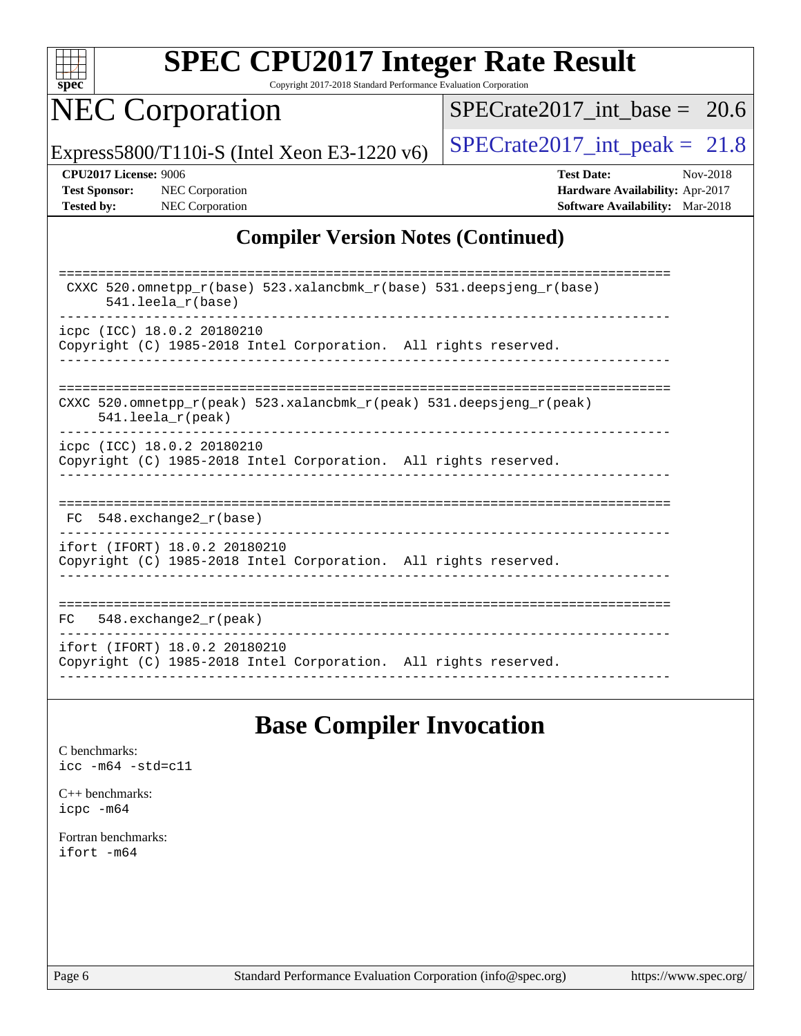

Copyright 2017-2018 Standard Performance Evaluation Corporation

# NEC Corporation

 $SPECTate2017\_int\_base = 20.6$ 

Express5800/T110i-S (Intel Xeon E3-1220 v6)  $\left|$  [SPECrate2017\\_int\\_peak =](http://www.spec.org/auto/cpu2017/Docs/result-fields.html#SPECrate2017intpeak) 21.8

**[CPU2017 License:](http://www.spec.org/auto/cpu2017/Docs/result-fields.html#CPU2017License)** 9006 **[Test Date:](http://www.spec.org/auto/cpu2017/Docs/result-fields.html#TestDate)** Nov-2018 **[Test Sponsor:](http://www.spec.org/auto/cpu2017/Docs/result-fields.html#TestSponsor)** NEC Corporation **[Hardware Availability:](http://www.spec.org/auto/cpu2017/Docs/result-fields.html#HardwareAvailability)** Apr-2017 **[Tested by:](http://www.spec.org/auto/cpu2017/Docs/result-fields.html#Testedby)** NEC Corporation **[Software Availability:](http://www.spec.org/auto/cpu2017/Docs/result-fields.html#SoftwareAvailability)** Mar-2018

#### **[Compiler Version Notes \(Continued\)](http://www.spec.org/auto/cpu2017/Docs/result-fields.html#CompilerVersionNotes)**

| CXXC 520.omnetpp_r(base) 523.xalancbmk_r(base) 531.deepsjeng_r(base)<br>$541.$ leela r(base)    |
|-------------------------------------------------------------------------------------------------|
| icpc (ICC) 18.0.2 20180210                                                                      |
| Copyright (C) 1985-2018 Intel Corporation. All rights reserved.                                 |
|                                                                                                 |
|                                                                                                 |
| CXXC 520.omnetpp $r(\text{peak})$ 523.xalancbmk $r(\text{peak})$ 531.deepsjeng $r(\text{peak})$ |
| $541.$ leela $r$ (peak)                                                                         |
| icpc (ICC) 18.0.2 20180210                                                                      |
| Copyright (C) 1985-2018 Intel Corporation. All rights reserved.                                 |
|                                                                                                 |
|                                                                                                 |
|                                                                                                 |
| 548.exchange2 r(base)<br>FC.                                                                    |
|                                                                                                 |
| ifort (IFORT) 18.0.2 20180210                                                                   |
| Copyright (C) 1985-2018 Intel Corporation. All rights reserved.                                 |
|                                                                                                 |
|                                                                                                 |
| 548.exchange2_r(peak)<br>FC                                                                     |
|                                                                                                 |
| ifort (IFORT) 18.0.2 20180210                                                                   |
| Copyright (C) 1985-2018 Intel Corporation. All rights reserved.                                 |
|                                                                                                 |

### **[Base Compiler Invocation](http://www.spec.org/auto/cpu2017/Docs/result-fields.html#BaseCompilerInvocation)**

[C benchmarks](http://www.spec.org/auto/cpu2017/Docs/result-fields.html#Cbenchmarks): [icc -m64 -std=c11](http://www.spec.org/cpu2017/results/res2018q4/cpu2017-20181112-09507.flags.html#user_CCbase_intel_icc_64bit_c11_33ee0cdaae7deeeab2a9725423ba97205ce30f63b9926c2519791662299b76a0318f32ddfffdc46587804de3178b4f9328c46fa7c2b0cd779d7a61945c91cd35)

[C++ benchmarks:](http://www.spec.org/auto/cpu2017/Docs/result-fields.html#CXXbenchmarks) [icpc -m64](http://www.spec.org/cpu2017/results/res2018q4/cpu2017-20181112-09507.flags.html#user_CXXbase_intel_icpc_64bit_4ecb2543ae3f1412ef961e0650ca070fec7b7afdcd6ed48761b84423119d1bf6bdf5cad15b44d48e7256388bc77273b966e5eb805aefd121eb22e9299b2ec9d9)

[Fortran benchmarks](http://www.spec.org/auto/cpu2017/Docs/result-fields.html#Fortranbenchmarks): [ifort -m64](http://www.spec.org/cpu2017/results/res2018q4/cpu2017-20181112-09507.flags.html#user_FCbase_intel_ifort_64bit_24f2bb282fbaeffd6157abe4f878425411749daecae9a33200eee2bee2fe76f3b89351d69a8130dd5949958ce389cf37ff59a95e7a40d588e8d3a57e0c3fd751)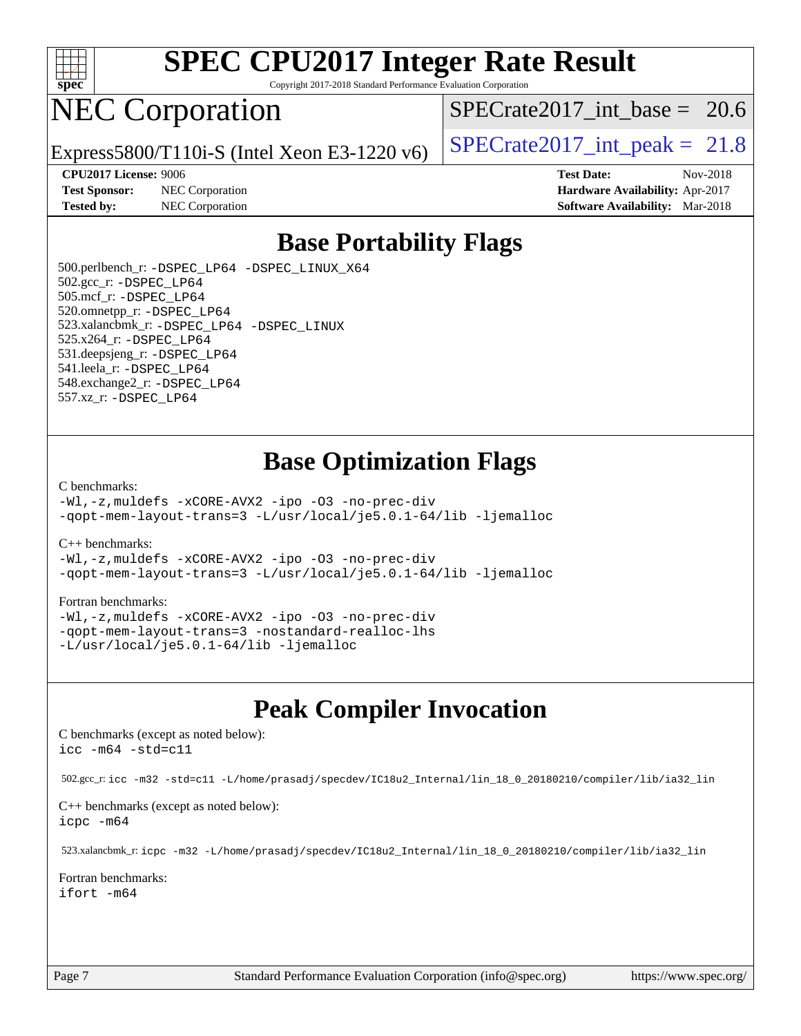

Copyright 2017-2018 Standard Performance Evaluation Corporation

# NEC Corporation

SPECrate2017 int\_base =  $20.6$ 

Express5800/T110i-S (Intel Xeon E3-1220 v6) [SPECrate2017\\_int\\_peak =](http://www.spec.org/auto/cpu2017/Docs/result-fields.html#SPECrate2017intpeak)  $21.8$ 

**[Test Sponsor:](http://www.spec.org/auto/cpu2017/Docs/result-fields.html#TestSponsor)** NEC Corporation **[Hardware Availability:](http://www.spec.org/auto/cpu2017/Docs/result-fields.html#HardwareAvailability)** Apr-2017

**[CPU2017 License:](http://www.spec.org/auto/cpu2017/Docs/result-fields.html#CPU2017License)** 9006 **[Test Date:](http://www.spec.org/auto/cpu2017/Docs/result-fields.html#TestDate)** Nov-2018 **[Tested by:](http://www.spec.org/auto/cpu2017/Docs/result-fields.html#Testedby)** NEC Corporation **[Software Availability:](http://www.spec.org/auto/cpu2017/Docs/result-fields.html#SoftwareAvailability)** Mar-2018

### **[Base Portability Flags](http://www.spec.org/auto/cpu2017/Docs/result-fields.html#BasePortabilityFlags)**

 500.perlbench\_r: [-DSPEC\\_LP64](http://www.spec.org/cpu2017/results/res2018q4/cpu2017-20181112-09507.flags.html#b500.perlbench_r_basePORTABILITY_DSPEC_LP64) [-DSPEC\\_LINUX\\_X64](http://www.spec.org/cpu2017/results/res2018q4/cpu2017-20181112-09507.flags.html#b500.perlbench_r_baseCPORTABILITY_DSPEC_LINUX_X64) 502.gcc\_r: [-DSPEC\\_LP64](http://www.spec.org/cpu2017/results/res2018q4/cpu2017-20181112-09507.flags.html#suite_basePORTABILITY502_gcc_r_DSPEC_LP64) 505.mcf\_r: [-DSPEC\\_LP64](http://www.spec.org/cpu2017/results/res2018q4/cpu2017-20181112-09507.flags.html#suite_basePORTABILITY505_mcf_r_DSPEC_LP64) 520.omnetpp\_r: [-DSPEC\\_LP64](http://www.spec.org/cpu2017/results/res2018q4/cpu2017-20181112-09507.flags.html#suite_basePORTABILITY520_omnetpp_r_DSPEC_LP64) 523.xalancbmk\_r: [-DSPEC\\_LP64](http://www.spec.org/cpu2017/results/res2018q4/cpu2017-20181112-09507.flags.html#suite_basePORTABILITY523_xalancbmk_r_DSPEC_LP64) [-DSPEC\\_LINUX](http://www.spec.org/cpu2017/results/res2018q4/cpu2017-20181112-09507.flags.html#b523.xalancbmk_r_baseCXXPORTABILITY_DSPEC_LINUX) 525.x264\_r: [-DSPEC\\_LP64](http://www.spec.org/cpu2017/results/res2018q4/cpu2017-20181112-09507.flags.html#suite_basePORTABILITY525_x264_r_DSPEC_LP64) 531.deepsjeng\_r: [-DSPEC\\_LP64](http://www.spec.org/cpu2017/results/res2018q4/cpu2017-20181112-09507.flags.html#suite_basePORTABILITY531_deepsjeng_r_DSPEC_LP64) 541.leela\_r: [-DSPEC\\_LP64](http://www.spec.org/cpu2017/results/res2018q4/cpu2017-20181112-09507.flags.html#suite_basePORTABILITY541_leela_r_DSPEC_LP64) 548.exchange2\_r: [-DSPEC\\_LP64](http://www.spec.org/cpu2017/results/res2018q4/cpu2017-20181112-09507.flags.html#suite_basePORTABILITY548_exchange2_r_DSPEC_LP64) 557.xz\_r: [-DSPEC\\_LP64](http://www.spec.org/cpu2017/results/res2018q4/cpu2017-20181112-09507.flags.html#suite_basePORTABILITY557_xz_r_DSPEC_LP64)

#### **[Base Optimization Flags](http://www.spec.org/auto/cpu2017/Docs/result-fields.html#BaseOptimizationFlags)**

#### [C benchmarks](http://www.spec.org/auto/cpu2017/Docs/result-fields.html#Cbenchmarks):

[-Wl,-z,muldefs](http://www.spec.org/cpu2017/results/res2018q4/cpu2017-20181112-09507.flags.html#user_CCbase_link_force_multiple1_b4cbdb97b34bdee9ceefcfe54f4c8ea74255f0b02a4b23e853cdb0e18eb4525ac79b5a88067c842dd0ee6996c24547a27a4b99331201badda8798ef8a743f577) [-xCORE-AVX2](http://www.spec.org/cpu2017/results/res2018q4/cpu2017-20181112-09507.flags.html#user_CCbase_f-xCORE-AVX2) [-ipo](http://www.spec.org/cpu2017/results/res2018q4/cpu2017-20181112-09507.flags.html#user_CCbase_f-ipo) [-O3](http://www.spec.org/cpu2017/results/res2018q4/cpu2017-20181112-09507.flags.html#user_CCbase_f-O3) [-no-prec-div](http://www.spec.org/cpu2017/results/res2018q4/cpu2017-20181112-09507.flags.html#user_CCbase_f-no-prec-div) [-qopt-mem-layout-trans=3](http://www.spec.org/cpu2017/results/res2018q4/cpu2017-20181112-09507.flags.html#user_CCbase_f-qopt-mem-layout-trans_de80db37974c74b1f0e20d883f0b675c88c3b01e9d123adea9b28688d64333345fb62bc4a798493513fdb68f60282f9a726aa07f478b2f7113531aecce732043) [-L/usr/local/je5.0.1-64/lib](http://www.spec.org/cpu2017/results/res2018q4/cpu2017-20181112-09507.flags.html#user_CCbase_jemalloc_link_path64_4b10a636b7bce113509b17f3bd0d6226c5fb2346b9178c2d0232c14f04ab830f976640479e5c33dc2bcbbdad86ecfb6634cbbd4418746f06f368b512fced5394) [-ljemalloc](http://www.spec.org/cpu2017/results/res2018q4/cpu2017-20181112-09507.flags.html#user_CCbase_jemalloc_link_lib_d1249b907c500fa1c0672f44f562e3d0f79738ae9e3c4a9c376d49f265a04b9c99b167ecedbf6711b3085be911c67ff61f150a17b3472be731631ba4d0471706)

#### [C++ benchmarks:](http://www.spec.org/auto/cpu2017/Docs/result-fields.html#CXXbenchmarks)

[-Wl,-z,muldefs](http://www.spec.org/cpu2017/results/res2018q4/cpu2017-20181112-09507.flags.html#user_CXXbase_link_force_multiple1_b4cbdb97b34bdee9ceefcfe54f4c8ea74255f0b02a4b23e853cdb0e18eb4525ac79b5a88067c842dd0ee6996c24547a27a4b99331201badda8798ef8a743f577) [-xCORE-AVX2](http://www.spec.org/cpu2017/results/res2018q4/cpu2017-20181112-09507.flags.html#user_CXXbase_f-xCORE-AVX2) [-ipo](http://www.spec.org/cpu2017/results/res2018q4/cpu2017-20181112-09507.flags.html#user_CXXbase_f-ipo) [-O3](http://www.spec.org/cpu2017/results/res2018q4/cpu2017-20181112-09507.flags.html#user_CXXbase_f-O3) [-no-prec-div](http://www.spec.org/cpu2017/results/res2018q4/cpu2017-20181112-09507.flags.html#user_CXXbase_f-no-prec-div) [-qopt-mem-layout-trans=3](http://www.spec.org/cpu2017/results/res2018q4/cpu2017-20181112-09507.flags.html#user_CXXbase_f-qopt-mem-layout-trans_de80db37974c74b1f0e20d883f0b675c88c3b01e9d123adea9b28688d64333345fb62bc4a798493513fdb68f60282f9a726aa07f478b2f7113531aecce732043) [-L/usr/local/je5.0.1-64/lib](http://www.spec.org/cpu2017/results/res2018q4/cpu2017-20181112-09507.flags.html#user_CXXbase_jemalloc_link_path64_4b10a636b7bce113509b17f3bd0d6226c5fb2346b9178c2d0232c14f04ab830f976640479e5c33dc2bcbbdad86ecfb6634cbbd4418746f06f368b512fced5394) [-ljemalloc](http://www.spec.org/cpu2017/results/res2018q4/cpu2017-20181112-09507.flags.html#user_CXXbase_jemalloc_link_lib_d1249b907c500fa1c0672f44f562e3d0f79738ae9e3c4a9c376d49f265a04b9c99b167ecedbf6711b3085be911c67ff61f150a17b3472be731631ba4d0471706)

#### [Fortran benchmarks](http://www.spec.org/auto/cpu2017/Docs/result-fields.html#Fortranbenchmarks):

[-Wl,-z,muldefs](http://www.spec.org/cpu2017/results/res2018q4/cpu2017-20181112-09507.flags.html#user_FCbase_link_force_multiple1_b4cbdb97b34bdee9ceefcfe54f4c8ea74255f0b02a4b23e853cdb0e18eb4525ac79b5a88067c842dd0ee6996c24547a27a4b99331201badda8798ef8a743f577) [-xCORE-AVX2](http://www.spec.org/cpu2017/results/res2018q4/cpu2017-20181112-09507.flags.html#user_FCbase_f-xCORE-AVX2) [-ipo](http://www.spec.org/cpu2017/results/res2018q4/cpu2017-20181112-09507.flags.html#user_FCbase_f-ipo) [-O3](http://www.spec.org/cpu2017/results/res2018q4/cpu2017-20181112-09507.flags.html#user_FCbase_f-O3) [-no-prec-div](http://www.spec.org/cpu2017/results/res2018q4/cpu2017-20181112-09507.flags.html#user_FCbase_f-no-prec-div) [-qopt-mem-layout-trans=3](http://www.spec.org/cpu2017/results/res2018q4/cpu2017-20181112-09507.flags.html#user_FCbase_f-qopt-mem-layout-trans_de80db37974c74b1f0e20d883f0b675c88c3b01e9d123adea9b28688d64333345fb62bc4a798493513fdb68f60282f9a726aa07f478b2f7113531aecce732043) [-nostandard-realloc-lhs](http://www.spec.org/cpu2017/results/res2018q4/cpu2017-20181112-09507.flags.html#user_FCbase_f_2003_std_realloc_82b4557e90729c0f113870c07e44d33d6f5a304b4f63d4c15d2d0f1fab99f5daaed73bdb9275d9ae411527f28b936061aa8b9c8f2d63842963b95c9dd6426b8a) [-L/usr/local/je5.0.1-64/lib](http://www.spec.org/cpu2017/results/res2018q4/cpu2017-20181112-09507.flags.html#user_FCbase_jemalloc_link_path64_4b10a636b7bce113509b17f3bd0d6226c5fb2346b9178c2d0232c14f04ab830f976640479e5c33dc2bcbbdad86ecfb6634cbbd4418746f06f368b512fced5394) [-ljemalloc](http://www.spec.org/cpu2017/results/res2018q4/cpu2017-20181112-09507.flags.html#user_FCbase_jemalloc_link_lib_d1249b907c500fa1c0672f44f562e3d0f79738ae9e3c4a9c376d49f265a04b9c99b167ecedbf6711b3085be911c67ff61f150a17b3472be731631ba4d0471706)

#### **[Peak Compiler Invocation](http://www.spec.org/auto/cpu2017/Docs/result-fields.html#PeakCompilerInvocation)**

[C benchmarks \(except as noted below\)](http://www.spec.org/auto/cpu2017/Docs/result-fields.html#Cbenchmarksexceptasnotedbelow): [icc -m64 -std=c11](http://www.spec.org/cpu2017/results/res2018q4/cpu2017-20181112-09507.flags.html#user_CCpeak_intel_icc_64bit_c11_33ee0cdaae7deeeab2a9725423ba97205ce30f63b9926c2519791662299b76a0318f32ddfffdc46587804de3178b4f9328c46fa7c2b0cd779d7a61945c91cd35)

502.gcc\_r: [icc -m32 -std=c11 -L/home/prasadj/specdev/IC18u2\\_Internal/lin\\_18\\_0\\_20180210/compiler/lib/ia32\\_lin](http://www.spec.org/cpu2017/results/res2018q4/cpu2017-20181112-09507.flags.html#user_peakCCLD502_gcc_r_intel_icc_a481ac844e7127046fad14d498c730a1848fa901fbbb2c3dfdd5e9fbbac777c8009953946d55d8b6afe8ed0da70dd2b4f8dedbdf7ab1ee211ba70d24a5d89f85)

[C++ benchmarks \(except as noted below\):](http://www.spec.org/auto/cpu2017/Docs/result-fields.html#CXXbenchmarksexceptasnotedbelow) [icpc -m64](http://www.spec.org/cpu2017/results/res2018q4/cpu2017-20181112-09507.flags.html#user_CXXpeak_intel_icpc_64bit_4ecb2543ae3f1412ef961e0650ca070fec7b7afdcd6ed48761b84423119d1bf6bdf5cad15b44d48e7256388bc77273b966e5eb805aefd121eb22e9299b2ec9d9)

523.xalancbmk\_r: [icpc -m32 -L/home/prasadj/specdev/IC18u2\\_Internal/lin\\_18\\_0\\_20180210/compiler/lib/ia32\\_lin](http://www.spec.org/cpu2017/results/res2018q4/cpu2017-20181112-09507.flags.html#user_peakCXXLD523_xalancbmk_r_intel_icpc_c6d030cd79af6ea7d6fb64c57e8fe7ae8fe0b96fc5a3b3f4a10e3273b3d7fa9decd8263f6330cef23f751cb093a69fae84a2bf4c243500a8eed069248128076f)

[Fortran benchmarks](http://www.spec.org/auto/cpu2017/Docs/result-fields.html#Fortranbenchmarks): [ifort -m64](http://www.spec.org/cpu2017/results/res2018q4/cpu2017-20181112-09507.flags.html#user_FCpeak_intel_ifort_64bit_24f2bb282fbaeffd6157abe4f878425411749daecae9a33200eee2bee2fe76f3b89351d69a8130dd5949958ce389cf37ff59a95e7a40d588e8d3a57e0c3fd751)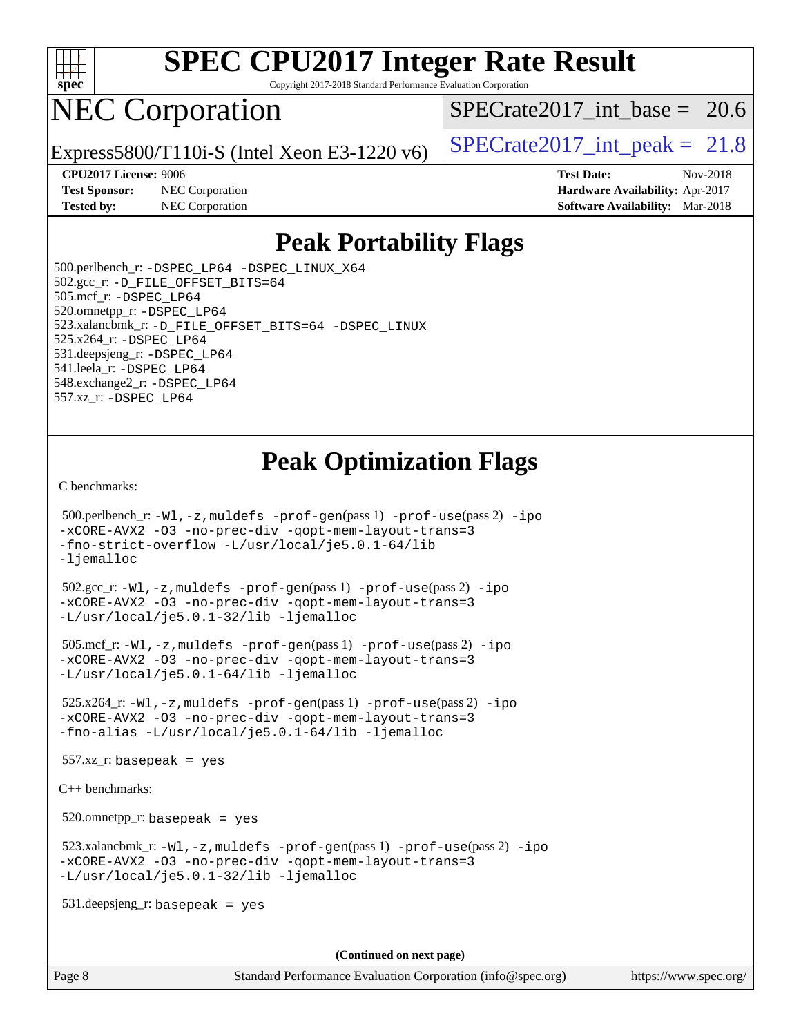

Copyright 2017-2018 Standard Performance Evaluation Corporation

# NEC Corporation

SPECrate2017 int\_base =  $20.6$ 

Express5800/T110i-S (Intel Xeon E3-1220 v6) [SPECrate2017\\_int\\_peak =](http://www.spec.org/auto/cpu2017/Docs/result-fields.html#SPECrate2017intpeak)  $21.8$ 

**[Test Sponsor:](http://www.spec.org/auto/cpu2017/Docs/result-fields.html#TestSponsor)** NEC Corporation **[Hardware Availability:](http://www.spec.org/auto/cpu2017/Docs/result-fields.html#HardwareAvailability)** Apr-2017 **[Tested by:](http://www.spec.org/auto/cpu2017/Docs/result-fields.html#Testedby)** NEC Corporation **[Software Availability:](http://www.spec.org/auto/cpu2017/Docs/result-fields.html#SoftwareAvailability)** Mar-2018

**[CPU2017 License:](http://www.spec.org/auto/cpu2017/Docs/result-fields.html#CPU2017License)** 9006 **[Test Date:](http://www.spec.org/auto/cpu2017/Docs/result-fields.html#TestDate)** Nov-2018

### **[Peak Portability Flags](http://www.spec.org/auto/cpu2017/Docs/result-fields.html#PeakPortabilityFlags)**

 500.perlbench\_r: [-DSPEC\\_LP64](http://www.spec.org/cpu2017/results/res2018q4/cpu2017-20181112-09507.flags.html#b500.perlbench_r_peakPORTABILITY_DSPEC_LP64) [-DSPEC\\_LINUX\\_X64](http://www.spec.org/cpu2017/results/res2018q4/cpu2017-20181112-09507.flags.html#b500.perlbench_r_peakCPORTABILITY_DSPEC_LINUX_X64) 502.gcc\_r: [-D\\_FILE\\_OFFSET\\_BITS=64](http://www.spec.org/cpu2017/results/res2018q4/cpu2017-20181112-09507.flags.html#user_peakPORTABILITY502_gcc_r_file_offset_bits_64_5ae949a99b284ddf4e95728d47cb0843d81b2eb0e18bdfe74bbf0f61d0b064f4bda2f10ea5eb90e1dcab0e84dbc592acfc5018bc955c18609f94ddb8d550002c) 505.mcf\_r: [-DSPEC\\_LP64](http://www.spec.org/cpu2017/results/res2018q4/cpu2017-20181112-09507.flags.html#suite_peakPORTABILITY505_mcf_r_DSPEC_LP64) 520.omnetpp\_r: [-DSPEC\\_LP64](http://www.spec.org/cpu2017/results/res2018q4/cpu2017-20181112-09507.flags.html#suite_peakPORTABILITY520_omnetpp_r_DSPEC_LP64) 523.xalancbmk\_r: [-D\\_FILE\\_OFFSET\\_BITS=64](http://www.spec.org/cpu2017/results/res2018q4/cpu2017-20181112-09507.flags.html#user_peakPORTABILITY523_xalancbmk_r_file_offset_bits_64_5ae949a99b284ddf4e95728d47cb0843d81b2eb0e18bdfe74bbf0f61d0b064f4bda2f10ea5eb90e1dcab0e84dbc592acfc5018bc955c18609f94ddb8d550002c) [-DSPEC\\_LINUX](http://www.spec.org/cpu2017/results/res2018q4/cpu2017-20181112-09507.flags.html#b523.xalancbmk_r_peakCXXPORTABILITY_DSPEC_LINUX) 525.x264\_r: [-DSPEC\\_LP64](http://www.spec.org/cpu2017/results/res2018q4/cpu2017-20181112-09507.flags.html#suite_peakPORTABILITY525_x264_r_DSPEC_LP64) 531.deepsjeng\_r: [-DSPEC\\_LP64](http://www.spec.org/cpu2017/results/res2018q4/cpu2017-20181112-09507.flags.html#suite_peakPORTABILITY531_deepsjeng_r_DSPEC_LP64) 541.leela\_r: [-DSPEC\\_LP64](http://www.spec.org/cpu2017/results/res2018q4/cpu2017-20181112-09507.flags.html#suite_peakPORTABILITY541_leela_r_DSPEC_LP64) 548.exchange2\_r: [-DSPEC\\_LP64](http://www.spec.org/cpu2017/results/res2018q4/cpu2017-20181112-09507.flags.html#suite_peakPORTABILITY548_exchange2_r_DSPEC_LP64) 557.xz\_r: [-DSPEC\\_LP64](http://www.spec.org/cpu2017/results/res2018q4/cpu2017-20181112-09507.flags.html#suite_peakPORTABILITY557_xz_r_DSPEC_LP64)

### **[Peak Optimization Flags](http://www.spec.org/auto/cpu2017/Docs/result-fields.html#PeakOptimizationFlags)**

[C benchmarks](http://www.spec.org/auto/cpu2017/Docs/result-fields.html#Cbenchmarks):

```
 500.perlbench_r: -Wl,-z,muldefs -prof-gen(pass 1) -prof-use(pass 2) -ipo
-xCORE-AVX2 -O3 -no-prec-div -qopt-mem-layout-trans=3
-fno-strict-overflow -L/usr/local/je5.0.1-64/lib
-ljemalloc
 502.gcc_r: -Wl,-z,muldefs -prof-gen(pass 1) -prof-use(pass 2) -ipo
-xCORE-AVX2 -O3 -no-prec-div -qopt-mem-layout-trans=3
-L/usr/local/je5.0.1-32/lib -ljemalloc
 505.mcf_r: -Wl,-z,muldefs -prof-gen(pass 1) -prof-use(pass 2) -ipo
-xCORE-AVX2 -O3 -no-prec-div -qopt-mem-layout-trans=3
-L/usr/local/je5.0.1-64/lib -ljemalloc
 525.x264_r: -Wl,-z,muldefs -prof-gen(pass 1) -prof-use(pass 2) -ipo
-xCORE-AVX2 -O3 -no-prec-div -qopt-mem-layout-trans=3
-fno-alias -L/usr/local/je5.0.1-64/lib -ljemalloc
 557.xz_r: basepeak = yes
C++ benchmarks: 
 520.omnetpp_r: basepeak = yes
 523.xalancbmk_r: -Wl,-z,muldefs -prof-gen(pass 1) -prof-use(pass 2) -ipo
-xCORE-AVX2 -O3 -no-prec-div -qopt-mem-layout-trans=3
-L/usr/local/je5.0.1-32/lib -ljemalloc
 531.deepsjeng_r: basepeak = yes
                                      (Continued on next page)
```